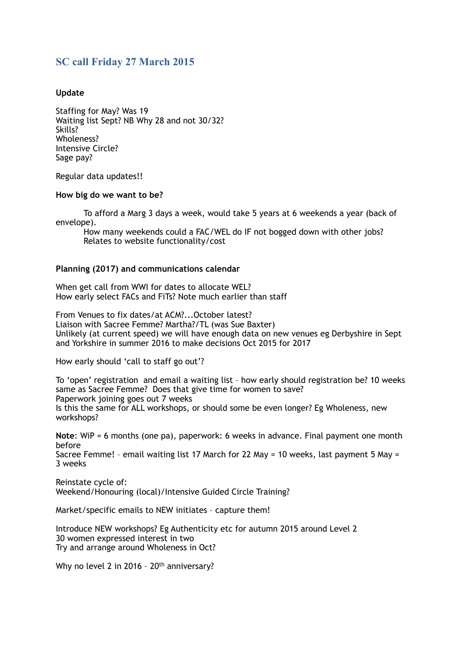# **SC call Friday 27 March 2015**

### **Update**

Staffing for May? Was 19 Waiting list Sept? NB Why 28 and not 30/32? Skills? Wholeness? Intensive Circle? Sage pay?

Regular data updates!!

#### **How big do we want to be?**

 To afford a Marg 3 days a week, would take 5 years at 6 weekends a year (back of envelope).

 How many weekends could a FAC/WEL do IF not bogged down with other jobs? Relates to website functionality/cost

#### **Planning (2017) and communications calendar**

When get call from WWI for dates to allocate WEL? How early select FACs and FiTs? Note much earlier than staff

From Venues to fix dates/at ACM?...October latest? Liaison with Sacree Femme? Martha?/TL (was Sue Baxter) Unlikely (at current speed) we will have enough data on new venues eg Derbyshire in Sept and Yorkshire in summer 2016 to make decisions Oct 2015 for 2017

How early should 'call to staff go out'?

workshops?

To 'open' registration and email a waiting list – how early should registration be? 10 weeks same as Sacree Femme? Does that give time for women to save? Paperwork joining goes out 7 weeks Is this the same for ALL workshops, or should some be even longer? Eg Wholeness, new

**Note**: WiP = 6 months (one pa), paperwork: 6 weeks in advance. Final payment one month before

Sacree Femme! – email waiting list 17 March for 22 May = 10 weeks, last payment 5 May = 3 weeks

Reinstate cycle of: Weekend/Honouring (local)/Intensive Guided Circle Training?

Market/specific emails to NEW initiates – capture them!

Introduce NEW workshops? Eg Authenticity etc for autumn 2015 around Level 2 30 women expressed interest in two Try and arrange around Wholeness in Oct?

Why no level 2 in 2016 - 20<sup>th</sup> anniversary?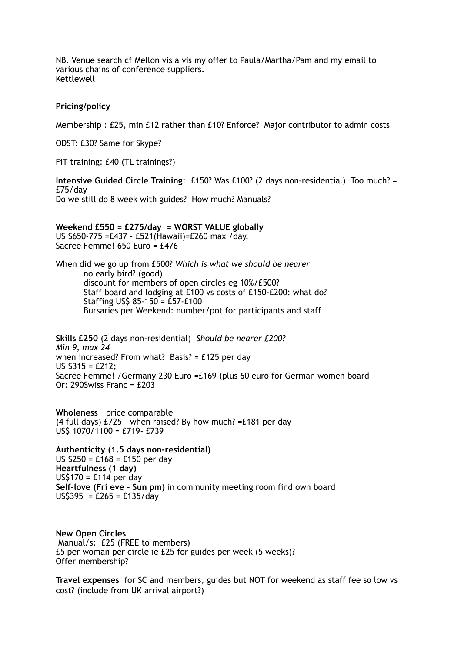NB. Venue search cf Mellon vis a vis my offer to Paula/Martha/Pam and my email to various chains of conference suppliers. Kettlewell

#### **Pricing/policy**

Membership : £25, min £12 rather than £10? Enforce? Major contributor to admin costs

ODST: £30? Same for Skype?

FiT training: £40 (TL trainings?)

**Intensive Guided Circle Training**: £150? Was £100? (2 days non-residential) Too much? = £75/day Do we still do 8 week with guides? How much? Manuals?

## **Weekend £550 = £275/day = WORST VALUE globally**

US \$650-775 =£437 - £521(Hawaii)=£260 max /day. Sacree Femme! 650 Euro = £476

When did we go up from £500? *Which is what we should be nearer*  no early bird? (good) discount for members of open circles eg 10%/£500? Staff board and lodging at £100 vs costs of £150-£200: what do? Staffing US\$ 85-150 = £57-£100 Bursaries per Weekend: number/pot for participants and staff

**Skills £250** (2 days non-residential) *Should be nearer £200? Min 9, max 24* when increased? From what? Basis? = £125 per day US \$315 = £212; Sacree Femme! /Germany 230 Euro =£169 (plus 60 euro for German women board Or: 290Swiss Franc = £203

**Wholeness** – price comparable (4 full days) £725 – when raised? By how much? =£181 per day US\$ 1070/1100 = £719- £739

**Authenticity (1.5 days non-residential)** US \$250 = £168 = £150 per day **Heartfulness (1 day)** US\$170 = £114 per day **Self-love (Fri eve – Sun pm)** in community meeting room find own board  $US$395 = £265 = £135/day$ 

**New Open Circles** Manual/s: £25 (FREE to members) £5 per woman per circle ie £25 for guides per week (5 weeks)? Offer membership?

**Travel expenses** for SC and members, guides but NOT for weekend as staff fee so low vs cost? (include from UK arrival airport?)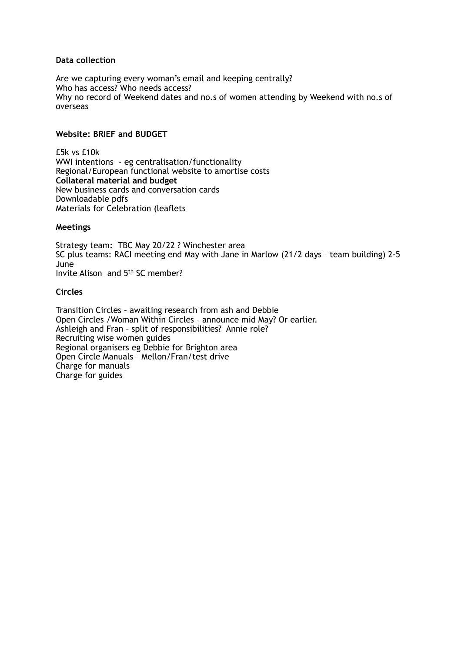### **Data collection**

Are we capturing every woman's email and keeping centrally? Who has access? Who needs access? Why no record of Weekend dates and no.s of women attending by Weekend with no.s of overseas

### **Website: BRIEF and BUDGET**

£5k vs £10k WWI intentions - eg centralisation/functionality Regional/European functional website to amortise costs **Collateral material and budget** New business cards and conversation cards Downloadable pdfs Materials for Celebration (leaflets

#### **Meetings**

Strategy team: TBC May 20/22 ? Winchester area SC plus teams: RACI meeting end May with Jane in Marlow (21/2 days – team building) 2-5 June Invite Alison and 5th SC member?

### **Circles**

Transition Circles – awaiting research from ash and Debbie Open Circles /Woman Within Circles – announce mid May? Or earlier. Ashleigh and Fran – split of responsibilities? Annie role? Recruiting wise women guides Regional organisers eg Debbie for Brighton area Open Circle Manuals – Mellon/Fran/test drive Charge for manuals Charge for guides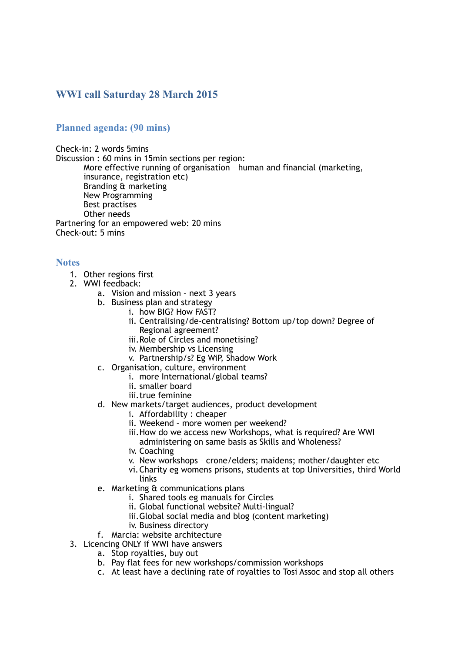# **WWI call Saturday 28 March 2015**

## **Planned agenda: (90 mins)**

Check-in: 2 words 5mins Discussion : 60 mins in 15min sections per region: More effective running of organisation – human and financial (marketing, insurance, registration etc) Branding & marketing New Programming Best practises Other needs Partnering for an empowered web: 20 mins Check-out: 5 mins

#### **Notes**

- 1. Other regions first
- 2. WWI feedback:
	- a. Vision and mission next 3 years
	- b. Business plan and strategy
		- i. how BIG? How FAST?
			- ii. Centralising/de-centralising? Bottom up/top down? Degree of Regional agreement?
		- iii.Role of Circles and monetising?
		- iv. Membership vs Licensing
		- v. Partnership/s? Eg WiP, Shadow Work
	- c. Organisation, culture, environment
		- i. more International/global teams?
		- ii. smaller board
		- iii.true feminine

#### d. New markets/target audiences, product development

- i. Affordability : cheaper
- ii. Weekend more women per weekend?
- iii.How do we access new Workshops, what is required? Are WWI administering on same basis as Skills and Wholeness?
- iv. Coaching
- v. New workshops crone/elders; maidens; mother/daughter etc
- vi.Charity eg womens prisons, students at top Universities, third World links
- e. Marketing & communications plans
	- i. Shared tools eg manuals for Circles
	- ii. Global functional website? Multi-lingual?
	- iii.Global social media and blog (content marketing)
	- iv. Business directory
- f. Marcia: website architecture
- 3. Licencing ONLY if WWI have answers
	- a. Stop royalties, buy out
	- b. Pay flat fees for new workshops/commission workshops
	- c. At least have a declining rate of royalties to Tosi Assoc and stop all others